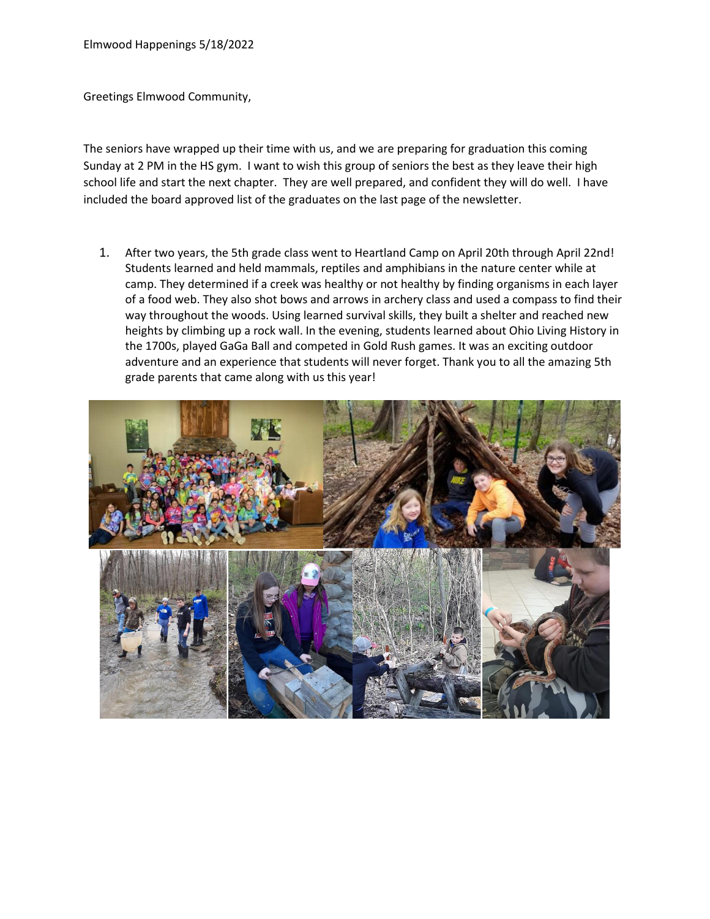Greetings Elmwood Community,

The seniors have wrapped up their time with us, and we are preparing for graduation this coming Sunday at 2 PM in the HS gym. I want to wish this group of seniors the best as they leave their high school life and start the next chapter. They are well prepared, and confident they will do well. I have included the board approved list of the graduates on the last page of the newsletter.

1. After two years, the 5th grade class went to Heartland Camp on April 20th through April 22nd! Students learned and held mammals, reptiles and amphibians in the nature center while at camp. They determined if a creek was healthy or not healthy by finding organisms in each layer of a food web. They also shot bows and arrows in archery class and used a compass to find their way throughout the woods. Using learned survival skills, they built a shelter and reached new heights by climbing up a rock wall. In the evening, students learned about Ohio Living History in the 1700s, played GaGa Ball and competed in Gold Rush games. It was an exciting outdoor adventure and an experience that students will never forget. Thank you to all the amazing 5th grade parents that came along with us this year!

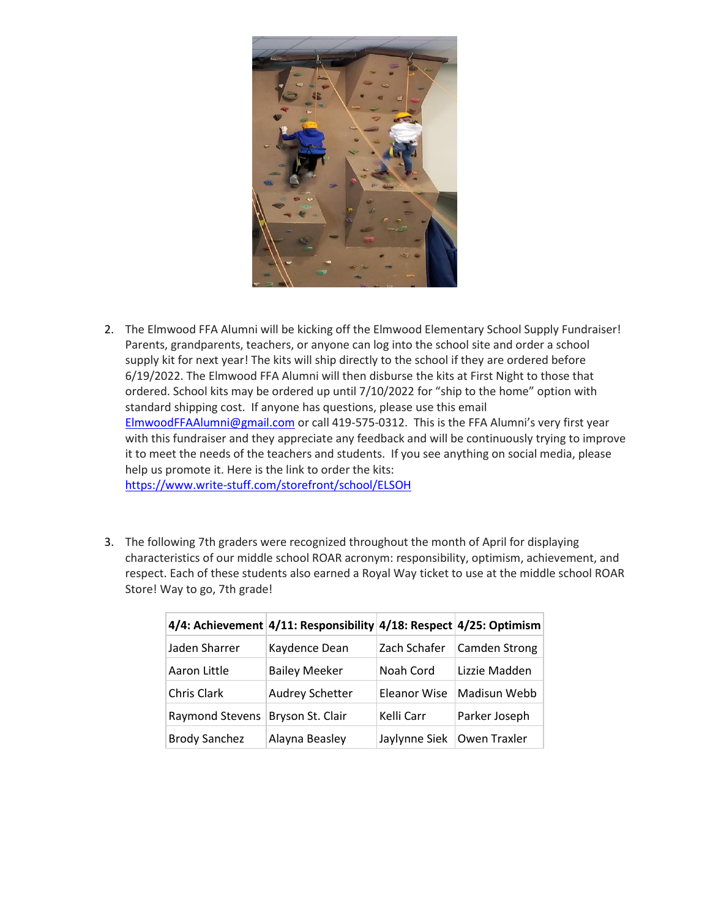

- 2. The Elmwood FFA Alumni will be kicking off the Elmwood Elementary School Supply Fundraiser! Parents, grandparents, teachers, or anyone can log into the school site and order a school supply kit for next year! The kits will ship directly to the school if they are ordered before 6/19/2022. The Elmwood FFA Alumni will then disburse the kits at First Night to those that ordered. School kits may be ordered up until 7/10/2022 for "ship to the home" option with standard shipping cost. If anyone has questions, please use this email [ElmwoodFFAAlumni@gmail.com](mailto:ElmwoodFFAAlumni@gmail.com) or call 419-575-0312. This is the FFA Alumni's very first year with this fundraiser and they appreciate any feedback and will be continuously trying to improve it to meet the needs of the teachers and students. If you see anything on social media, please help us promote it. Here is the link to order the kits: <https://www.write-stuff.com/storefront/school/ELSOH>
- 3. The following 7th graders were recognized throughout the month of April for displaying characteristics of our middle school ROAR acronym: responsibility, optimism, achievement, and respect. Each of these students also earned a Royal Way ticket to use at the middle school ROAR Store! Way to go, 7th grade!

|                        | 4/4: Achievement 4/11: Responsibility 4/18: Respect 4/25: Optimism |                     |                      |
|------------------------|--------------------------------------------------------------------|---------------------|----------------------|
| Jaden Sharrer          | Kaydence Dean                                                      | Zach Schafer        | <b>Camden Strong</b> |
| Aaron Little           | <b>Bailey Meeker</b>                                               | Noah Cord           | Lizzie Madden        |
| Chris Clark            | Audrey Schetter                                                    | <b>Eleanor Wise</b> | Madisun Webb         |
| <b>Raymond Stevens</b> | Bryson St. Clair                                                   | Kelli Carr          | Parker Joseph        |
| <b>Brody Sanchez</b>   | Alayna Beasley                                                     | Jaylynne Siek       | Owen Traxler         |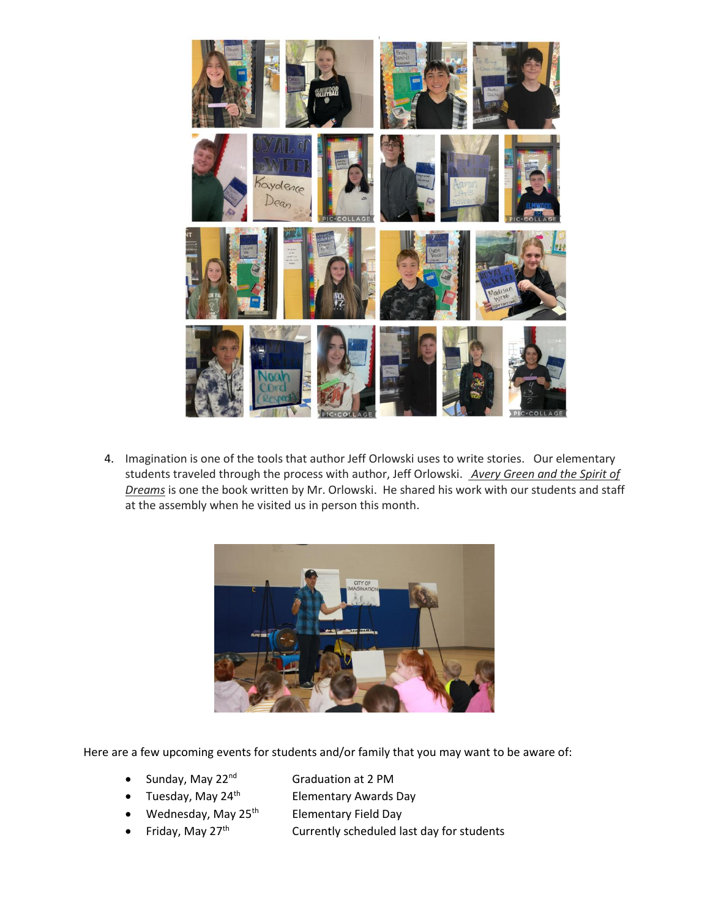

4. Imagination is one of the tools that author Jeff Orlowski uses to write stories. Our elementary students traveled through the process with author, Jeff Orlowski. *Avery Green and the Spirit of Dreams* is one the book written by Mr. Orlowski. He shared his work with our students and staff at the assembly when he visited us in person this month.



Here are a few upcoming events for students and/or family that you may want to be aware of:

- Sunday, May 22<sup>nd</sup> Graduation at 2 PM
	-
- Tuesday, May 24<sup>th</sup> Elementary Awards Day
- Wednesday, May  $25<sup>th</sup>$  Elementary Field Day
- Friday, May  $27<sup>th</sup>$  Currently scheduled last day for students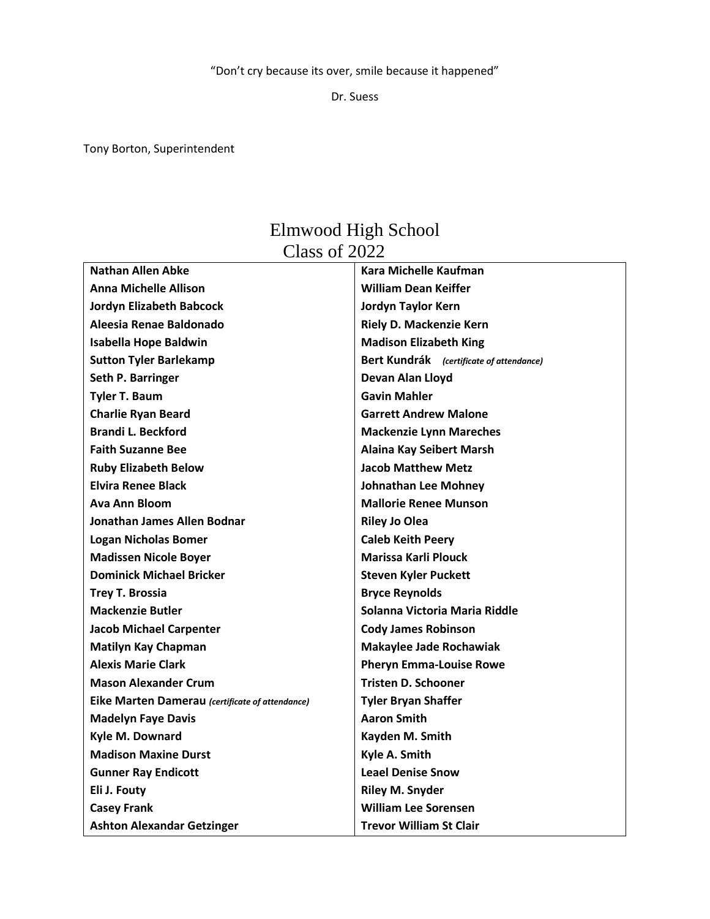"Don't cry because its over, smile because it happened"

Dr. Suess

Tony Borton, Superintendent

## Elmwood High School Class of 2022

| <b>Nathan Allen Abke</b>                        | <b>Kara Michelle Kaufman</b>             |
|-------------------------------------------------|------------------------------------------|
| <b>Anna Michelle Allison</b>                    | <b>William Dean Keiffer</b>              |
| <b>Jordyn Elizabeth Babcock</b>                 | Jordyn Taylor Kern                       |
| Aleesia Renae Baldonado                         | Riely D. Mackenzie Kern                  |
| <b>Isabella Hope Baldwin</b>                    | <b>Madison Elizabeth King</b>            |
| <b>Sutton Tyler Barlekamp</b>                   | Bert Kundrák (certificate of attendance) |
| Seth P. Barringer                               | Devan Alan Lloyd                         |
| <b>Tyler T. Baum</b>                            | <b>Gavin Mahler</b>                      |
| <b>Charlie Ryan Beard</b>                       | <b>Garrett Andrew Malone</b>             |
| <b>Brandi L. Beckford</b>                       | <b>Mackenzie Lynn Mareches</b>           |
| <b>Faith Suzanne Bee</b>                        | <b>Alaina Kay Seibert Marsh</b>          |
| <b>Ruby Elizabeth Below</b>                     | <b>Jacob Matthew Metz</b>                |
| <b>Elvira Renee Black</b>                       | <b>Johnathan Lee Mohney</b>              |
| Ava Ann Bloom                                   | <b>Mallorie Renee Munson</b>             |
| Jonathan James Allen Bodnar                     | <b>Riley Jo Olea</b>                     |
| <b>Logan Nicholas Bomer</b>                     | <b>Caleb Keith Peery</b>                 |
| <b>Madissen Nicole Boyer</b>                    | <b>Marissa Karli Plouck</b>              |
| <b>Dominick Michael Bricker</b>                 | <b>Steven Kyler Puckett</b>              |
| <b>Trey T. Brossia</b>                          | <b>Bryce Reynolds</b>                    |
| <b>Mackenzie Butler</b>                         | Solanna Victoria Maria Riddle            |
| <b>Jacob Michael Carpenter</b>                  | <b>Cody James Robinson</b>               |
| <b>Matilyn Kay Chapman</b>                      | <b>Makaylee Jade Rochawiak</b>           |
| <b>Alexis Marie Clark</b>                       | <b>Pheryn Emma-Louise Rowe</b>           |
| <b>Mason Alexander Crum</b>                     | <b>Tristen D. Schooner</b>               |
| Eike Marten Damerau (certificate of attendance) | <b>Tyler Bryan Shaffer</b>               |
| <b>Madelyn Faye Davis</b>                       | <b>Aaron Smith</b>                       |
| Kyle M. Downard                                 | Kayden M. Smith                          |
| <b>Madison Maxine Durst</b>                     | Kyle A. Smith                            |
| <b>Gunner Ray Endicott</b>                      | <b>Leael Denise Snow</b>                 |
| Eli J. Fouty                                    | <b>Riley M. Snyder</b>                   |
| <b>Casey Frank</b>                              | <b>William Lee Sorensen</b>              |
| <b>Ashton Alexandar Getzinger</b>               | <b>Trevor William St Clair</b>           |